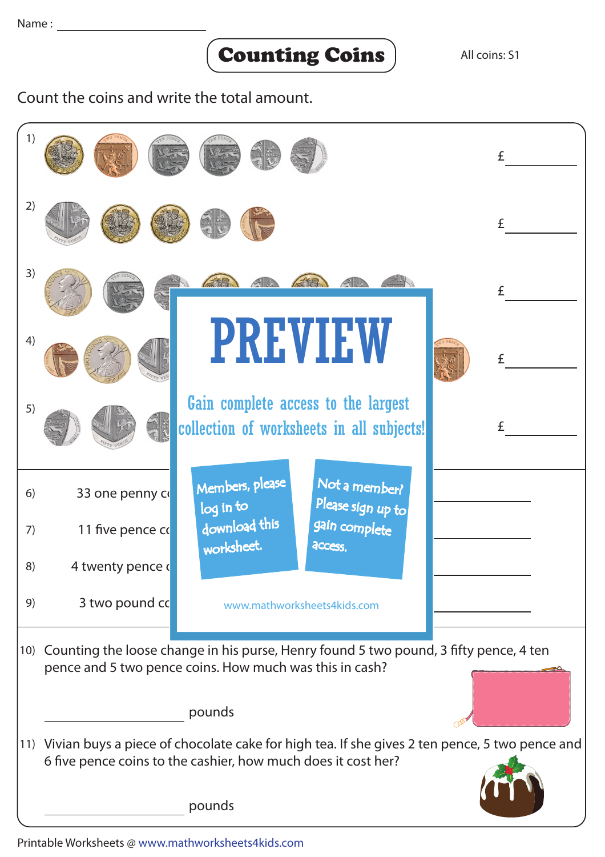## Counting Coins

Count the coins and write the total amount.